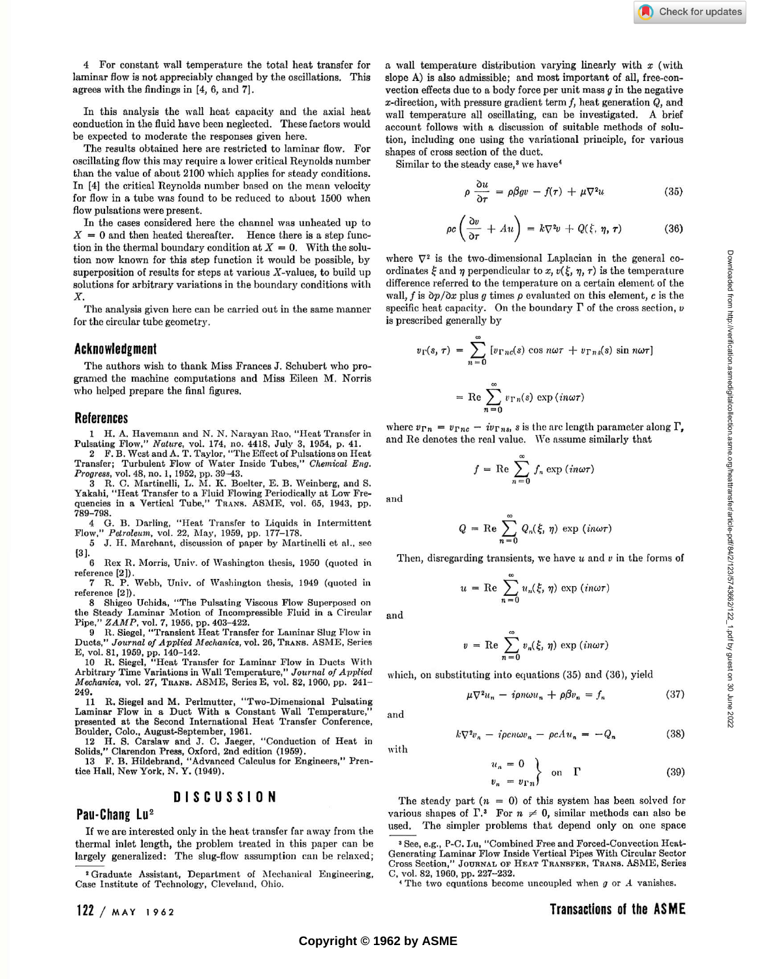4 For constant wall temperature the total heat transfer for laminar flow is not appreciably changed by the oscillations. This agrees with the findings in [4, 6, and 7].

In this analysis the wall heat capacity and the axial heat conduction in the fluid have been neglected. These factors would be expected to moderate the responses given here.

The results obtained here are restricted to laminar flow. For oscillating flow this may require a lower critical Reynolds number than the value of about 2100 which applies for steady conditions. In [4] the critical Reynolds number based on the mean velocity for flow in a tube was found to be reduced to about 1500 when flow pulsations were present.

In the cases considered here the channel was unheated up to  $X = 0$  and then heated thereafter. Hence there is a step function in the thermal boundary condition at  $X = 0$ . With the solution now known for this step function it would be possible, by superposition of results for steps at various  $X$ -values, to build up solutions for arbitrary variations in the boundary conditions with *X.* 

The analysis given here can be carried out in the same manner for the circular tube geometry.

### **Acknowledgment**

The authors wish to thank Miss Frances J. Schubert who programed the machine computations and Miss Eileen M. Norris who helped prepare the final figures.

#### **References**

**1 H. A. Havemann and N. N. Narayan Rao, "Heat Transfer in Pulsating Flow,"** *Nature,* **vol. 174, no. 4418, July 3, 1954, p. 41.** 

**2 F. B. West and A. T. Taylor, "The Effect of Pulsations on Heat Transfer; Turbulent Flow of Water Inside Tubes,"** *Chemical Eng. Progress,* **vol. 48, no. 1, 1952, pp. 39-43.** 

**3 R. C. Martinelli, L. M. If. Boelter, E. B. Weinberg, and S. Yakaki, "Heat Transfer to a Fluid Flowing Periodically at Low Frequencies in a Vertical Tube," TRANS. ASME, vol. 65, 1943, pp. 789-798.** 

**4 G. B. Darling, "Heat Transfer to Liquids in Intermittent Flow,"** *Petroleum,* **vol. 22, May, 1959, pp. 177-178.** 

**5 J. H. Marchant, discussion of paper by Martinelli et a!., see [3].** 

**6 Rex R. Morris, Univ. of Washington thesis, 1950 (quoted in reference [2]).** 

**7 R. P. Webb, Univ. of Washington thesis, 1949 (quoted in reference [2]).** 

**8 Shigeo Uchida, "The Pulsating Viscous Flow Superposed on the Steady Laminar Motion of Incompressible Fluid in a Circular Pipe,"** *ZAMP,* **vol. 7, 1956, pp. 403-422.** 

**9 R. Siegel, "Transient Heat Transfer for Laminar Slug Flow in Ducts,"** *Journal of Applied Mechanics,* **vol. 26, TRANS. ASME, Series E, vol. 81, 1959, pp. 140-142.** 

**10 R. Siegel, "Heat Transfer for Laminar Flow in Ducts With Arbitrary Time Variations in Wall Temperature,"** *Journal of Applied Mechanics,* **vol. 27, TRANS. ASME, Series E, vol. 82, 1960, pp. 241- 249.** 

**11 R. Siegel and M. Perlmutter, "Two-Dimensional Pulsating**  Laminar Flow in a Duct With a Constant Wall Temperature,' **presented at the Second International Heat Transfer Conference, Boulder, Colo., August-September, 1961.** 

**12 H. S. Carslaw and J. C. Jaeger, "Conduction of Heat in Solids," Clarendon** Press, **Oxford, 2nd edition (1959).** 

**13 F. B. Hildebrand, "Advanced Calculus for Engineers," Prentice HaU, New York, N. Y. (1949).** 

### **DISCUSSIO N**

# **Pau-Chang Lu<sup>2</sup>**

If we are interested only in the heat transfer far away from the thermal inlet length, the problem treated in this paper can be largely generalized: The slug-flow assumption can be relaxed;

**<sup>2</sup> Graduate Assistant, Department of Mechanical Engineering, Case Institute of Technology, Cleveland, Ohio.** 

a wall temperature distribution varying linearly with *x* (with slope A) is also admissible; and most important of all, free-convection effects due to a body force per unit mass *g* in the negative  $x$ -direction, with pressure gradient term  $f$ , heat generation  $Q$ , and wall temperature all oscillating, can be investigated. A brief account follows with a discussion of suitable methods of solution, including one using the variational principle, for various shapes of cross section of the duct.

Similar to the steady case,<sup>3</sup> we have<sup>4</sup>

$$
\rho \frac{\partial u}{\partial \tau} = \rho \beta g v - f(\tau) + \mu \nabla^2 u \tag{35}
$$

$$
\rho c \left( \frac{\partial v}{\partial \tau} + A u \right) = k \nabla^2 v + Q(\xi, \eta, \tau) \tag{36}
$$

where  $\nabla^2$  is the two-dimensional Laplacian in the general coordinates  $\xi$  and  $\eta$  perpendicular to x,  $v(\xi, \eta, \tau)$  is the temperature difference referred to the temperature on a certain element of the wall,  $f$  is  $\partial p / \partial x$  plus  $g$  times  $\rho$  evaluated on this element,  $c$  is the specific heat capacity. On the boundary  $\Gamma$  of the cross section, v is prescribed generally by

$$
v_{\Gamma}(s, \tau) = \sum_{n=0}^{\infty} \left[ v_{\Gamma n c}(s) \cos n\omega \tau + v_{\Gamma n s}(s) \sin n\omega \tau \right]
$$

$$
= \text{Re} \sum_{n=0}^{\infty} v_{\Gamma n}(s) \exp (in\omega \tau)
$$

where  $v_{\Gamma n} = v_{\Gamma n c} - i v_{\Gamma n s}$ , s is the arc length parameter along  $\Gamma$ , and Re denotes the real value. We assume similarly that

$$
f = \text{Re} \sum_{n=0}^{\infty} f_n \exp (in\omega \tau)
$$

$$
Q = \text{Re} \sum_{n=0}^{\infty} Q_n(\xi, \eta) \text{ exp}
$$

Then, disregarding transients, we have *u* and *v* in the forms of

$$
u = \text{Re} \sum_{n=0}^{\infty} u_n(\xi, \eta) \exp (in\omega \tau)
$$

and

and

with

and

$$
v = \text{Re} \sum_{n=0}^{\infty} v_n(\xi, \eta) \text{ exp} (in\omega\tau)
$$

which, on substituting into equations (35) and (36), yield

$$
f_{\rm{max}}
$$

$$
k\nabla^2 v_n - i\rho cn\omega v_n - \rho cAu_n = -Q_n \tag{38}
$$

 $\mu \nabla^2 u_n - i \rho n \omega u_n + \rho \beta v_n = f_n$  (37)

$$
u_n = 0\n v_n = v_{\Gamma n}
$$
 on  $\Gamma$  (39)

 $(in\omega\tau)$ 

The steady part  $(n = 0)$  of this system has been solved for various shapes of  $\Gamma$ <sup>3</sup>. For  $n \neq 0$ , similar methods can also be used. The simpler problems that depend only on one space

**, The two equations become uncoupled when** *g* **or A vanishes.** 

## **122** / **MAY** 1962

 $\boldsymbol{u}$ 

**<sup>3</sup> See, e.g., P-C. Lu, "Combined Free and Forced-Convection Heat-Generating Laminar Flow Inside Vertical Pipes With Circular Sector Cros s Section," JOURNAL OP HEAT TRANSFER, TRANS. ASME , Series C, vol. 82, 1960, pp. 227-232.**